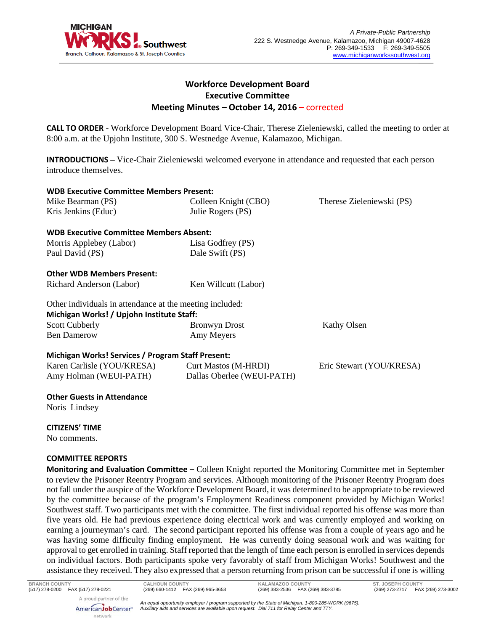

# **Workforce Development Board Executive Committee Meeting Minutes – October 14, 2016** – corrected

**CALL TO ORDER** - Workforce Development Board Vice-Chair, Therese Zieleniewski, called the meeting to order at 8:00 a.m. at the Upjohn Institute, 300 S. Westnedge Avenue, Kalamazoo, Michigan.

**INTRODUCTIONS** – Vice-Chair Zieleniewski welcomed everyone in attendance and requested that each person introduce themselves.

| <b>WDB Executive Committee Members Present:</b>          |                            |                           |
|----------------------------------------------------------|----------------------------|---------------------------|
| Mike Bearman (PS)                                        | Colleen Knight (CBO)       | Therese Zieleniewski (PS) |
| Kris Jenkins (Educ)                                      | Julie Rogers (PS)          |                           |
| <b>WDB Executive Committee Members Absent:</b>           |                            |                           |
| Morris Applebey (Labor)                                  | Lisa Godfrey (PS)          |                           |
| Paul David (PS)                                          | Dale Swift (PS)            |                           |
| <b>Other WDB Members Present:</b>                        |                            |                           |
| Richard Anderson (Labor)                                 | Ken Willcutt (Labor)       |                           |
| Other individuals in attendance at the meeting included: |                            |                           |
| Michigan Works! / Upjohn Institute Staff:                |                            |                           |
| <b>Scott Cubberly</b>                                    | <b>Bronwyn Drost</b>       | <b>Kathy Olsen</b>        |
| <b>Ben Damerow</b>                                       | Amy Meyers                 |                           |
| Michigan Works! Services / Program Staff Present:        |                            |                           |
| Karen Carlisle (YOU/KRESA)                               | Curt Mastos (M-HRDI)       | Eric Stewart (YOU/KRESA)  |
| Amy Holman (WEUI-PATH)                                   | Dallas Oberlee (WEUI-PATH) |                           |

### **Other Guests in Attendance**

Noris Lindsey

# **CITIZENS' TIME**

No comments.

# **COMMITTEE REPORTS**

network

**Monitoring and Evaluation Committee** – Colleen Knight reported the Monitoring Committee met in September to review the Prisoner Reentry Program and services. Although monitoring of the Prisoner Reentry Program does not fall under the auspice of the Workforce Development Board, it was determined to be appropriate to be reviewed by the committee because of the program's Employment Readiness component provided by Michigan Works! Southwest staff. Two participants met with the committee. The first individual reported his offense was more than five years old. He had previous experience doing electrical work and was currently employed and working on earning a journeyman's card. The second participant reported his offense was from a couple of years ago and he was having some difficulty finding employment. He was currently doing seasonal work and was waiting for approval to get enrolled in training. Staff reported that the length of time each person is enrolled in services depends on individual factors. Both participants spoke very favorably of staff from Michigan Works! Southwest and the assistance they received. They also expressed that a person returning from prison can be successful if one is willing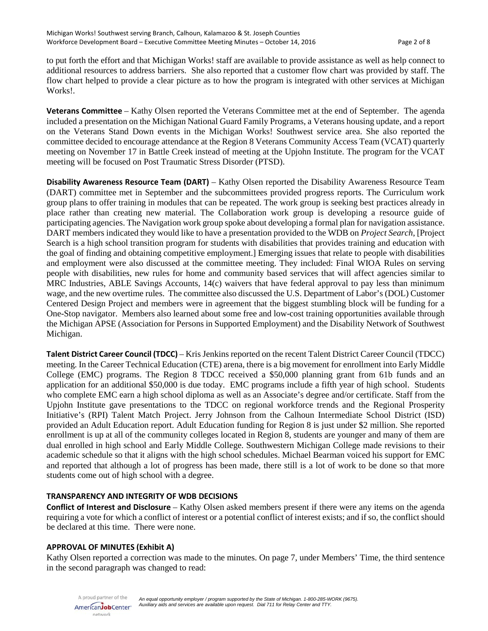to put forth the effort and that Michigan Works! staff are available to provide assistance as well as help connect to additional resources to address barriers. She also reported that a customer flow chart was provided by staff. The flow chart helped to provide a clear picture as to how the program is integrated with other services at Michigan Works!.

**Veterans Committee** – Kathy Olsen reported the Veterans Committee met at the end of September. The agenda included a presentation on the Michigan National Guard Family Programs, a Veterans housing update, and a report on the Veterans Stand Down events in the Michigan Works! Southwest service area. She also reported the committee decided to encourage attendance at the Region 8 Veterans Community Access Team (VCAT) quarterly meeting on November 17 in Battle Creek instead of meeting at the Upjohn Institute. The program for the VCAT meeting will be focused on Post Traumatic Stress Disorder (PTSD).

**Disability Awareness Resource Team (DART)** – Kathy Olsen reported the Disability Awareness Resource Team (DART) committee met in September and the subcommittees provided progress reports. The Curriculum work group plans to offer training in modules that can be repeated. The work group is seeking best practices already in place rather than creating new material. The Collaboration work group is developing a resource guide of participating agencies. The Navigation work group spoke about developing a formal plan for navigation assistance. DART members indicated they would like to have a presentation provided to the WDB on *Project Search*, [Project Search is a high school transition program for students with disabilities that provides training and education with the goal of finding and obtaining competitive employment.] Emerging issues that relate to people with disabilities and employment were also discussed at the committee meeting. They included: Final WIOA Rules on serving people with disabilities, new rules for home and community based services that will affect agencies similar to MRC Industries, ABLE Savings Accounts, 14(c) waivers that have federal approval to pay less than minimum wage, and the new overtime rules. The committee also discussed the U.S. Department of Labor's (DOL) Customer Centered Design Project and members were in agreement that the biggest stumbling block will be funding for a One-Stop navigator. Members also learned about some free and low-cost training opportunities available through the Michigan APSE (Association for Persons in Supported Employment) and the Disability Network of Southwest Michigan.

**Talent District Career Council (TDCC)** – Kris Jenkins reported on the recent Talent District Career Council (TDCC) meeting. In the Career Technical Education (CTE) arena, there is a big movement for enrollment into Early Middle College (EMC) programs. The Region 8 TDCC received a \$50,000 planning grant from 61b funds and an application for an additional \$50,000 is due today. EMC programs include a fifth year of high school. Students who complete EMC earn a high school diploma as well as an Associate's degree and/or certificate. Staff from the Upjohn Institute gave presentations to the TDCC on regional workforce trends and the Regional Prosperity Initiative's (RPI) Talent Match Project. Jerry Johnson from the Calhoun Intermediate School District (ISD) provided an Adult Education report. Adult Education funding for Region 8 is just under \$2 million. She reported enrollment is up at all of the community colleges located in Region 8, students are younger and many of them are dual enrolled in high school and Early Middle College. Southwestern Michigan College made revisions to their academic schedule so that it aligns with the high school schedules. Michael Bearman voiced his support for EMC and reported that although a lot of progress has been made, there still is a lot of work to be done so that more students come out of high school with a degree.

# **TRANSPARENCY AND INTEGRITY OF WDB DECISIONS**

**Conflict of Interest and Disclosure** – Kathy Olsen asked members present if there were any items on the agenda requiring a vote for which a conflict of interest or a potential conflict of interest exists; and if so, the conflict should be declared at this time. There were none.

### **APPROVAL OF MINUTES (Exhibit A)**

Kathy Olsen reported a correction was made to the minutes. On page 7, under Members' Time, the third sentence in the second paragraph was changed to read:

A proud partner of the AmericanJobCenter\* network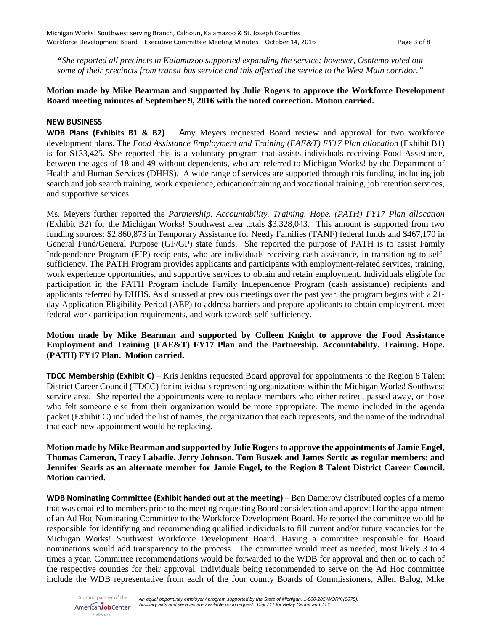*"She reported all precincts in Kalamazoo supported expanding the service; however, Oshtemo voted out some of their precincts from transit bus service and this affected the service to the West Main corridor."*

# **Motion made by Mike Bearman and supported by Julie Rogers to approve the Workforce Development Board meeting minutes of September 9, 2016 with the noted correction. Motion carried.**

### **NEW BUSINESS**

**WDB Plans (Exhibits B1 & B2)** – Amy Meyers requested Board review and approval for two workforce development plans. The *Food Assistance Employment and Training (FAE&T) FY17 Plan allocation* (Exhibit B1) is for \$133,425. She reported this is a voluntary program that assists individuals receiving Food Assistance, between the ages of 18 and 49 without dependents, who are referred to Michigan Works! by the Department of Health and Human Services (DHHS). A wide range of services are supported through this funding, including job search and job search training, work experience, education/training and vocational training, job retention services, and supportive services.

Ms. Meyers further reported the *Partnership. Accountability. Training. Hope. (PATH) FY17 Plan allocation* (Exhibit B2) for the Michigan Works! Southwest area totals \$3,328,043. This amount is supported from two funding sources: \$2,860,873 in Temporary Assistance for Needy Families (TANF) federal funds and \$467,170 in General Fund/General Purpose (GF/GP) state funds. She reported the purpose of PATH is to assist Family Independence Program (FIP) recipients, who are individuals receiving cash assistance, in transitioning to selfsufficiency. The PATH Program provides applicants and participants with employment-related services, training, work experience opportunities, and supportive services to obtain and retain employment. Individuals eligible for participation in the PATH Program include Family Independence Program (cash assistance) recipients and applicants referred by DHHS. As discussed at previous meetings over the past year, the program begins with a 21 day Application Eligibility Period (AEP) to address barriers and prepare applicants to obtain employment, meet federal work participation requirements, and work towards self-sufficiency.

# **Motion made by Mike Bearman and supported by Colleen Knight to approve the Food Assistance Employment and Training (FAE&T) FY17 Plan and the Partnership. Accountability. Training. Hope. (PATH) FY17 Plan. Motion carried.**

**TDCC Membership (Exhibit C) –** Kris Jenkins requested Board approval for appointments to the Region 8 Talent District Career Council (TDCC) for individuals representing organizations within the Michigan Works! Southwest service area. She reported the appointments were to replace members who either retired, passed away, or those who felt someone else from their organization would be more appropriate. The memo included in the agenda packet (Exhibit C) included the list of names, the organization that each represents, and the name of the individual that each new appointment would be replacing.

# **Motion made by Mike Bearman and supported by Julie Rogers to approve the appointments of Jamie Engel, Thomas Cameron, Tracy Labadie, Jerry Johnson, Tom Buszek and James Sertic as regular members; and Jennifer Searls as an alternate member for Jamie Engel, to the Region 8 Talent District Career Council. Motion carried.**

**WDB Nominating Committee (Exhibit handed out at the meeting) –** Ben Damerow distributed copies of a memo that was emailed to members prior to the meeting requesting Board consideration and approval for the appointment of an Ad Hoc Nominating Committee to the Workforce Development Board. He reported the committee would be responsible for identifying and recommending qualified individuals to fill current and/or future vacancies for the Michigan Works! Southwest Workforce Development Board. Having a committee responsible for Board nominations would add transparency to the process. The committee would meet as needed, most likely 3 to 4 times a year. Committee recommendations would be forwarded to the WDB for approval and then on to each of the respective counties for their approval. Individuals being recommended to serve on the Ad Hoc committee include the WDB representative from each of the four county Boards of Commissioners, Allen Balog, Mike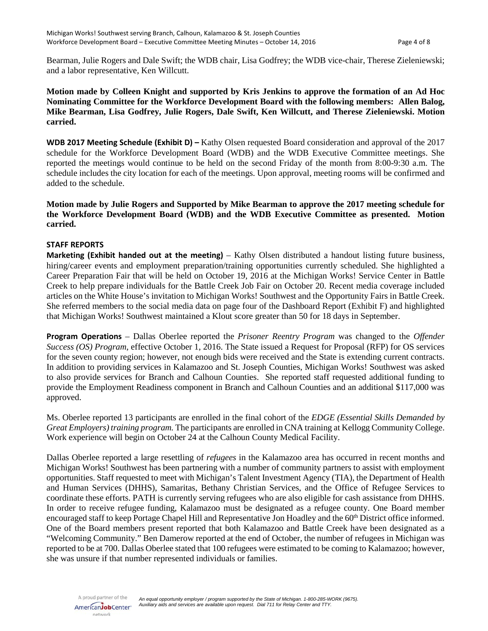Bearman, Julie Rogers and Dale Swift; the WDB chair, Lisa Godfrey; the WDB vice-chair, Therese Zieleniewski; and a labor representative, Ken Willcutt.

**Motion made by Colleen Knight and supported by Kris Jenkins to approve the formation of an Ad Hoc Nominating Committee for the Workforce Development Board with the following members: Allen Balog, Mike Bearman, Lisa Godfrey, Julie Rogers, Dale Swift, Ken Willcutt, and Therese Zieleniewski. Motion carried.**

**WDB 2017 Meeting Schedule (Exhibit D) –** Kathy Olsen requested Board consideration and approval of the 2017 schedule for the Workforce Development Board (WDB) and the WDB Executive Committee meetings. She reported the meetings would continue to be held on the second Friday of the month from 8:00-9:30 a.m. The schedule includes the city location for each of the meetings. Upon approval, meeting rooms will be confirmed and added to the schedule.

**Motion made by Julie Rogers and Supported by Mike Bearman to approve the 2017 meeting schedule for the Workforce Development Board (WDB) and the WDB Executive Committee as presented. Motion carried.**

### **STAFF REPORTS**

**Marketing (Exhibit handed out at the meeting)** – Kathy Olsen distributed a handout listing future business, hiring/career events and employment preparation/training opportunities currently scheduled. She highlighted a Career Preparation Fair that will be held on October 19, 2016 at the Michigan Works! Service Center in Battle Creek to help prepare individuals for the Battle Creek Job Fair on October 20. Recent media coverage included articles on the White House's invitation to Michigan Works! Southwest and the Opportunity Fairs in Battle Creek. She referred members to the social media data on page four of the Dashboard Report (Exhibit F) and highlighted that Michigan Works! Southwest maintained a Klout score greater than 50 for 18 days in September.

**Program Operations** – Dallas Oberlee reported the *Prisoner Reentry Program* was changed to the *Offender Success (OS) Program*, effective October 1, 2016. The State issued a Request for Proposal (RFP) for OS services for the seven county region; however, not enough bids were received and the State is extending current contracts. In addition to providing services in Kalamazoo and St. Joseph Counties, Michigan Works! Southwest was asked to also provide services for Branch and Calhoun Counties. She reported staff requested additional funding to provide the Employment Readiness component in Branch and Calhoun Counties and an additional \$117,000 was approved.

Ms. Oberlee reported 13 participants are enrolled in the final cohort of the *EDGE (Essential Skills Demanded by Great Employers) training program.* The participants are enrolled in CNA training at Kellogg Community College. Work experience will begin on October 24 at the Calhoun County Medical Facility.

Dallas Oberlee reported a large resettling of *refugees* in the Kalamazoo area has occurred in recent months and Michigan Works! Southwest has been partnering with a number of community partners to assist with employment opportunities. Staff requested to meet with Michigan's Talent Investment Agency (TIA), the Department of Health and Human Services (DHHS), Samaritas, Bethany Christian Services, and the Office of Refugee Services to coordinate these efforts. PATH is currently serving refugees who are also eligible for cash assistance from DHHS. In order to receive refugee funding, Kalamazoo must be designated as a refugee county. One Board member encouraged staff to keep Portage Chapel Hill and Representative Jon Hoadley and the 60<sup>th</sup> District office informed. One of the Board members present reported that both Kalamazoo and Battle Creek have been designated as a "Welcoming Community." Ben Damerow reported at the end of October, the number of refugees in Michigan was reported to be at 700. Dallas Oberlee stated that 100 refugees were estimated to be coming to Kalamazoo; however, she was unsure if that number represented individuals or families.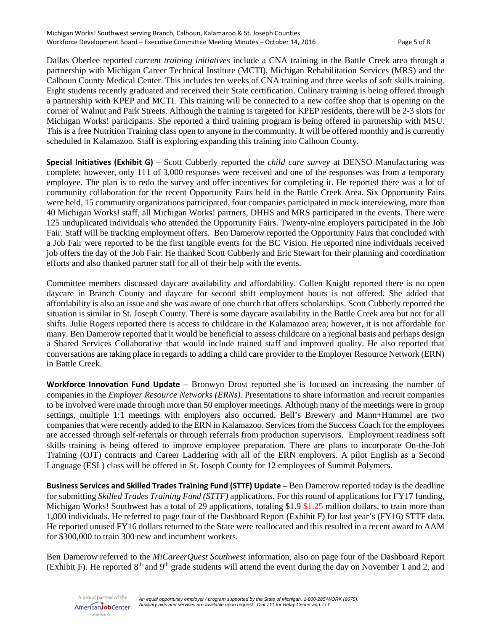Dallas Oberlee reported *current training initiatives* include a CNA training in the Battle Creek area through a partnership with Michigan Career Technical Institute (MCTI), Michigan Rehabilitation Services (MRS) and the Calhoun County Medical Center. This includes ten weeks of CNA training and three weeks of soft skills training. Eight students recently graduated and received their State certification. Culinary training is being offered through a partnership with KPEP and MCTI. This training will be connected to a new coffee shop that is opening on the corner of Walnut and Park Streets. Although the training is targeted for KPEP residents, there will be 2-3 slots for Michigan Works! participants. She reported a third training program is being offered in partnership with MSU. This is a free Nutrition Training class open to anyone in the community. It will be offered monthly and is currently scheduled in Kalamazoo. Staff is exploring expanding this training into Calhoun County.

**Special Initiatives (Exhibit G)** – Scott Cubberly reported the *child care survey* at DENSO Manufacturing was complete; however, only 111 of 3,000 responses were received and one of the responses was from a temporary employee. The plan is to redo the survey and offer incentives for completing it. He reported there was a lot of community collaboration for the recent Opportunity Fairs held in the Battle Creek Area. Six Opportunity Fairs were held, 15 community organizations participated, four companies participated in mock interviewing, more than 40 Michigan Works! staff, all Michigan Works! partners, DHHS and MRS participated in the events. There were 125 unduplicated individuals who attended the Opportunity Fairs. Twenty-nine employers participated in the Job Fair. Staff will be tracking employment offers. Ben Damerow reported the Opportunity Fairs that concluded with a Job Fair were reported to be the first tangible events for the BC Vision. He reported nine individuals received job offers the day of the Job Fair. He thanked Scott Cubberly and Eric Stewart for their planning and coordination efforts and also thanked partner staff for all of their help with the events.

Committee members discussed daycare availability and affordability. Collen Knight reported there is no open daycare in Branch County and daycare for second shift employment hours is not offered. She added that affordability is also an issue and she was aware of one church that offers scholarships. Scott Cubberly reported the situation is similar in St. Joseph County. There is some daycare availability in the Battle Creek area but not for all shifts. Julie Rogers reported there is access to childcare in the Kalamazoo area; however, it is not affordable for many. Ben Damerow reported that it would be beneficial to assess childcare on a regional basis and perhaps design a Shared Services Collaborative that would include trained staff and improved quality. He also reported that conversations are taking place in regards to adding a child care provider to the Employer Resource Network (ERN) in Battle Creek.

**Workforce Innovation Fund Update** – Bronwyn Drost reported she is focused on increasing the number of companies in the *Employer Resource Networks (ERNs)*. Presentations to share information and recruit companies to be involved were made through more than 50 employer meetings. Although many of the meetings were in group settings, multiple 1:1 meetings with employers also occurred. Bell's Brewery and Mann+Hummel are two companies that were recently added to the ERN in Kalamazoo. Services from the Success Coach for the employees are accessed through self-referrals or through referrals from production supervisors. Employment readiness soft skills training is being offered to improve employee preparation. There are plans to incorporate On-the-Job Training (OJT) contracts and Career Laddering with all of the ERN employers. A pilot English as a Second Language (ESL) class will be offered in St. Joseph County for 12 employees of Summit Polymers.

**Business Services and Skilled Trades Training Fund (STTF) Update** – Ben Damerow reported today is the deadline for submitting *Skilled Trades Training Fund (STTF)* applications. For this round of applications for FY17 funding, Michigan Works! Southwest has a total of 29 applications, totaling \$1.9 \$1.25 million dollars, to train more than 1,000 individuals. He referred to page four of the Dashboard Report (Exhibit F) for last year's (FY16) STTF data. He reported unused FY16 dollars returned to the State were reallocated and this resulted in a recent award to AAM for \$300,000 to train 300 new and incumbent workers.

Ben Damerow referred to the *MiCareerQuest Southwest* information, also on page four of the Dashboard Report (Exhibit F). He reported  $8<sup>th</sup>$  and  $9<sup>th</sup>$  grade students will attend the event during the day on November 1 and 2, and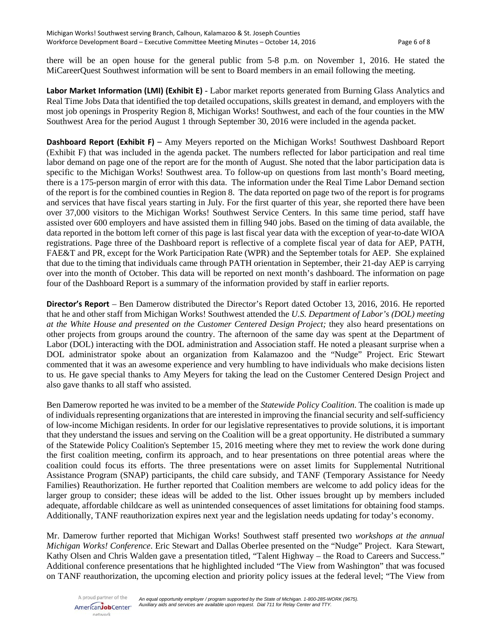there will be an open house for the general public from 5-8 p.m. on November 1, 2016. He stated the MiCareerQuest Southwest information will be sent to Board members in an email following the meeting.

**Labor Market Information (LMI) (Exhibit E)** - Labor market reports generated from Burning Glass Analytics and Real Time Jobs Data that identified the top detailed occupations, skills greatest in demand, and employers with the most job openings in Prosperity Region 8, Michigan Works! Southwest, and each of the four counties in the MW Southwest Area for the period August 1 through September 30, 2016 were included in the agenda packet.

**Dashboard Report (Exhibit F)** – Amy Meyers reported on the Michigan Works! Southwest Dashboard Report (Exhibit F) that was included in the agenda packet. The numbers reflected for labor participation and real time labor demand on page one of the report are for the month of August. She noted that the labor participation data is specific to the Michigan Works! Southwest area. To follow-up on questions from last month's Board meeting, there is a 175-person margin of error with this data. The information under the Real Time Labor Demand section of the report is for the combined counties in Region 8. The data reported on page two of the report is for programs and services that have fiscal years starting in July. For the first quarter of this year, she reported there have been over 37,000 visitors to the Michigan Works! Southwest Service Centers. In this same time period, staff have assisted over 600 employers and have assisted them in filling 940 jobs. Based on the timing of data available, the data reported in the bottom left corner of this page is last fiscal year data with the exception of year-to-date WIOA registrations. Page three of the Dashboard report is reflective of a complete fiscal year of data for AEP, PATH, FAE&T and PR, except for the Work Participation Rate (WPR) and the September totals for AEP. She explained that due to the timing that individuals came through PATH orientation in September, their 21-day AEP is carrying over into the month of October. This data will be reported on next month's dashboard. The information on page four of the Dashboard Report is a summary of the information provided by staff in earlier reports.

**Director's Report** – Ben Damerow distributed the Director's Report dated October 13, 2016, 2016. He reported that he and other staff from Michigan Works! Southwest attended the *U.S. Department of Labor's (DOL) meeting at the White House and presented on the Customer Centered Design Project;* they also heard presentations on other projects from groups around the country. The afternoon of the same day was spent at the Department of Labor (DOL) interacting with the DOL administration and Association staff. He noted a pleasant surprise when a DOL administrator spoke about an organization from Kalamazoo and the "Nudge" Project. Eric Stewart commented that it was an awesome experience and very humbling to have individuals who make decisions listen to us. He gave special thanks to Amy Meyers for taking the lead on the Customer Centered Design Project and also gave thanks to all staff who assisted.

Ben Damerow reported he was invited to be a member of the *Statewide Policy Coalition*. The coalition is made up of individuals representing organizations that are interested in improving the financial security and self-sufficiency of low-income Michigan residents. In order for our legislative representatives to provide solutions, it is important that they understand the issues and serving on the Coalition will be a great opportunity. He distributed a summary of the Statewide Policy Coalition's September 15, 2016 meeting where they met to review the work done during the first coalition meeting, confirm its approach, and to hear presentations on three potential areas where the coalition could focus its efforts. The three presentations were on asset limits for Supplemental Nutritional Assistance Program (SNAP) participants, the child care subsidy, and TANF (Temporary Assistance for Needy Families) Reauthorization. He further reported that Coalition members are welcome to add policy ideas for the larger group to consider; these ideas will be added to the list. Other issues brought up by members included adequate, affordable childcare as well as unintended consequences of asset limitations for obtaining food stamps. Additionally, TANF reauthorization expires next year and the legislation needs updating for today's economy.

Mr. Damerow further reported that Michigan Works! Southwest staff presented two *workshops at the annual Michigan Works! Conference*. Eric Stewart and Dallas Oberlee presented on the "Nudge" Project. Kara Stewart, Kathy Olsen and Chris Walden gave a presentation titled, "Talent Highway – the Road to Careers and Success." Additional conference presentations that he highlighted included "The View from Washington" that was focused on TANF reauthorization, the upcoming election and priority policy issues at the federal level; "The View from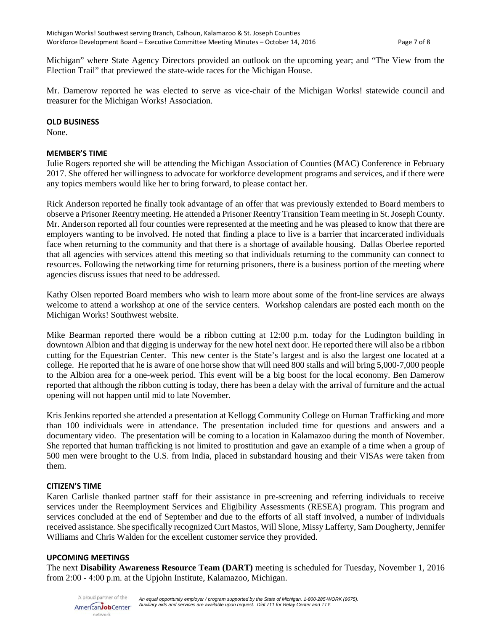Michigan" where State Agency Directors provided an outlook on the upcoming year; and "The View from the Election Trail" that previewed the state-wide races for the Michigan House.

Mr. Damerow reported he was elected to serve as vice-chair of the Michigan Works! statewide council and treasurer for the Michigan Works! Association.

#### **OLD BUSINESS**

None.

### **MEMBER'S TIME**

Julie Rogers reported she will be attending the Michigan Association of Counties (MAC) Conference in February 2017. She offered her willingness to advocate for workforce development programs and services, and if there were any topics members would like her to bring forward, to please contact her.

Rick Anderson reported he finally took advantage of an offer that was previously extended to Board members to observe a Prisoner Reentry meeting. He attended a Prisoner Reentry Transition Team meeting in St. Joseph County. Mr. Anderson reported all four counties were represented at the meeting and he was pleased to know that there are employers wanting to be involved. He noted that finding a place to live is a barrier that incarcerated individuals face when returning to the community and that there is a shortage of available housing. Dallas Oberlee reported that all agencies with services attend this meeting so that individuals returning to the community can connect to resources. Following the networking time for returning prisoners, there is a business portion of the meeting where agencies discuss issues that need to be addressed.

Kathy Olsen reported Board members who wish to learn more about some of the front-line services are always welcome to attend a workshop at one of the service centers. Workshop calendars are posted each month on the Michigan Works! Southwest website.

Mike Bearman reported there would be a ribbon cutting at 12:00 p.m. today for the Ludington building in downtown Albion and that digging is underway for the new hotel next door. He reported there will also be a ribbon cutting for the Equestrian Center. This new center is the State's largest and is also the largest one located at a college. He reported that he is aware of one horse show that will need 800 stalls and will bring 5,000-7,000 people to the Albion area for a one-week period. This event will be a big boost for the local economy. Ben Damerow reported that although the ribbon cutting is today, there has been a delay with the arrival of furniture and the actual opening will not happen until mid to late November.

Kris Jenkins reported she attended a presentation at Kellogg Community College on Human Trafficking and more than 100 individuals were in attendance. The presentation included time for questions and answers and a documentary video. The presentation will be coming to a location in Kalamazoo during the month of November. She reported that human trafficking is not limited to prostitution and gave an example of a time when a group of 500 men were brought to the U.S. from India, placed in substandard housing and their VISAs were taken from them.

### **CITIZEN'S TIME**

Karen Carlisle thanked partner staff for their assistance in pre-screening and referring individuals to receive services under the Reemployment Services and Eligibility Assessments (RESEA) program. This program and services concluded at the end of September and due to the efforts of all staff involved, a number of individuals received assistance. She specifically recognized Curt Mastos, Will Slone, Missy Lafferty, Sam Dougherty, Jennifer Williams and Chris Walden for the excellent customer service they provided.

### **UPCOMING MEETINGS**

The next **Disability Awareness Resource Team (DART)** meeting is scheduled for Tuesday, November 1, 2016 from 2:00 - 4:00 p.m. at the Upjohn Institute, Kalamazoo, Michigan.